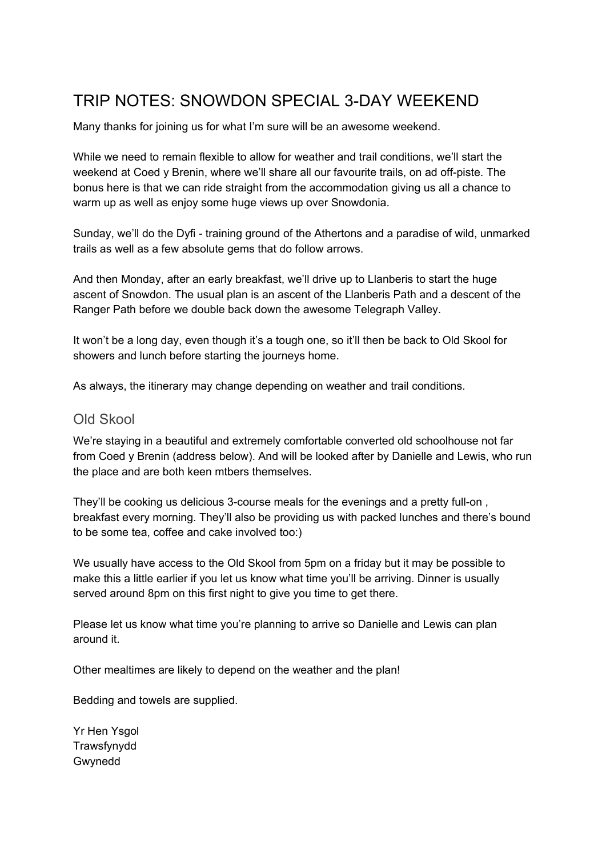# TRIP NOTES: SNOWDON SPECIAL 3-DAY WEEKEND

Many thanks for joining us for what I'm sure will be an awesome weekend.

While we need to remain flexible to allow for weather and trail conditions, we'll start the weekend at Coed y Brenin, where we'll share all our favourite trails, on ad off-piste. The bonus here is that we can ride straight from the accommodation giving us all a chance to warm up as well as enjoy some huge views up over Snowdonia.

Sunday, we'll do the Dyfi - training ground of the Athertons and a paradise of wild, unmarked trails as well as a few absolute gems that do follow arrows.

And then Monday, after an early breakfast, we'll drive up to Llanberis to start the huge ascent of Snowdon. The usual plan is an ascent of the Llanberis Path and a descent of the Ranger Path before we double back down the awesome Telegraph Valley.

It won't be a long day, even though it's a tough one, so it'll then be back to Old Skool for showers and lunch before starting the journeys home.

As always, the itinerary may change depending on weather and trail conditions.

## Old Skool

We're staying in a beautiful and extremely comfortable converted old schoolhouse not far from Coed y Brenin (address below). And will be looked after by Danielle and Lewis, who run the place and are both keen mtbers themselves.

They'll be cooking us delicious 3-course meals for the evenings and a pretty full-on , breakfast every morning. They'll also be providing us with packed lunches and there's bound to be some tea, coffee and cake involved too:)

We usually have access to the Old Skool from 5pm on a friday but it may be possible to make this a little earlier if you let us know what time you'll be arriving. Dinner is usually served around 8pm on this first night to give you time to get there.

Please let us know what time you're planning to arrive so Danielle and Lewis can plan around it.

Other mealtimes are likely to depend on the weather and the plan!

Bedding and towels are supplied.

Yr Hen Ysgol **Trawsfynydd** Gwynedd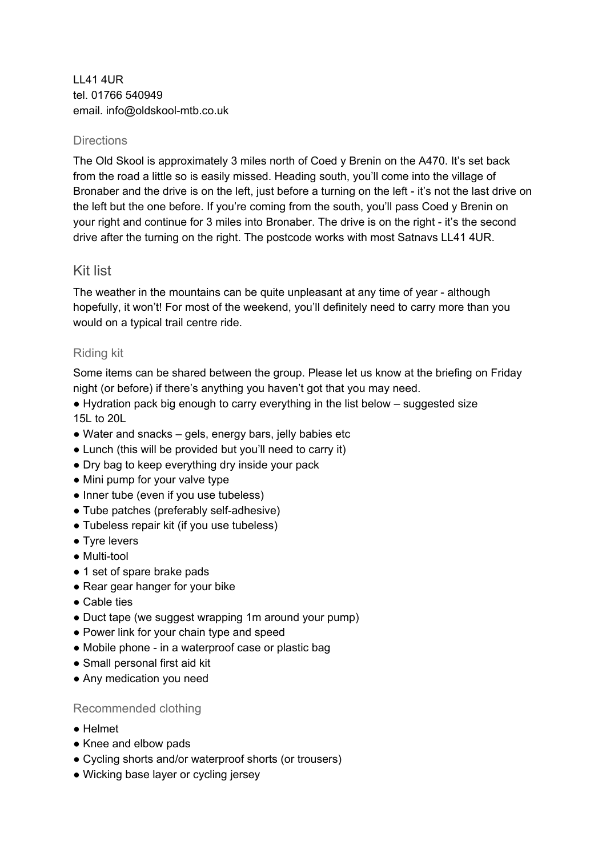LL41 4UR tel. 01766 540949 email. info@oldskool-mtb.co.uk

#### **Directions**

The Old Skool is approximately 3 miles north of Coed y Brenin on the A470. It's set back from the road a little so is easily missed. Heading south, you'll come into the village of Bronaber and the drive is on the left, just before a turning on the left - it's not the last drive on the left but the one before. If you're coming from the south, you'll pass Coed y Brenin on your right and continue for 3 miles into Bronaber. The drive is on the right - it's the second drive after the turning on the right. The postcode works with most Satnavs LL41 4UR.

## Kit list

The weather in the mountains can be quite unpleasant at any time of year - although hopefully, it won't! For most of the weekend, you'll definitely need to carry more than you would on a typical trail centre ride.

## Riding kit

Some items can be shared between the group. Please let us know at the briefing on Friday night (or before) if there's anything you haven't got that you may need.

- Hydration pack big enough to carry everything in the list below suggested size 15L to 20L
- Water and snacks gels, energy bars, jelly babies etc
- Lunch (this will be provided but you'll need to carry it)
- Dry bag to keep everything dry inside your pack
- Mini pump for your valve type
- Inner tube (even if you use tubeless)
- Tube patches (preferably self-adhesive)
- Tubeless repair kit (if you use tubeless)
- Tyre levers
- Multi-tool
- 1 set of spare brake pads
- Rear gear hanger for your bike
- Cable ties
- Duct tape (we suggest wrapping 1m around your pump)
- Power link for your chain type and speed
- Mobile phone in a waterproof case or plastic bag
- Small personal first aid kit
- Any medication you need

## Recommended clothing

- Helmet
- Knee and elbow pads
- Cycling shorts and/or waterproof shorts (or trousers)
- Wicking base layer or cycling jersey